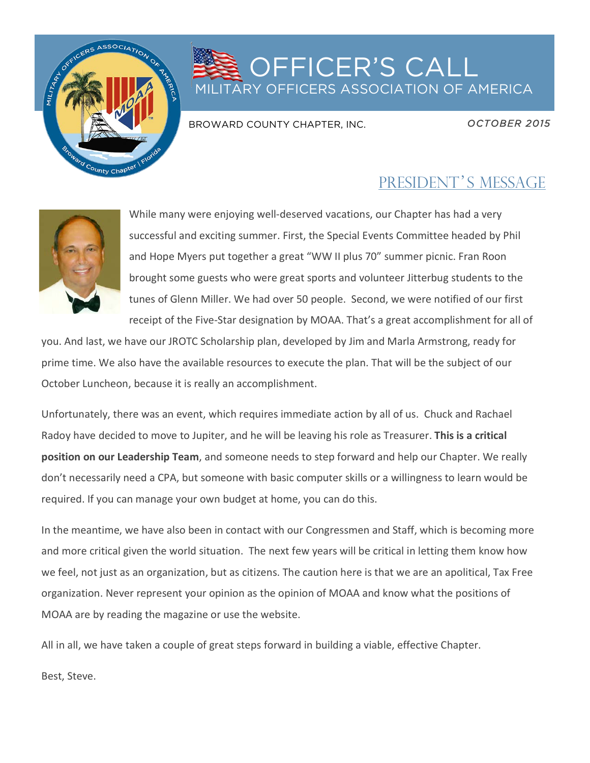

## OFFICER'S CALL ITARY OFFICERS ASSOCIATION OF AMERICA

BROWARD COUNTY CHAPTER, INC.

*OCTOBER 2015* 

## PRESIDENT'S MESSAGE



While many were enjoying well-deserved vacations, our Chapter has had a very successful and exciting summer. First, the Special Events Committee headed by Phil and Hope Myers put together a great "WW II plus 70" summer picnic. Fran Roon brought some guests who were great sports and volunteer Jitterbug students to the tunes of Glenn Miller. We had over 50 people. Second, we were notified of our first receipt of the Five-Star designation by MOAA. That's a great accomplishment for all of

you. And last, we have our JROTC Scholarship plan, developed by Jim and Marla Armstrong, ready for prime time. We also have the available resources to execute the plan. That will be the subject of our October Luncheon, because it is really an accomplishment.

Unfortunately, there was an event, which requires immediate action by all of us. Chuck and Rachael Radoy have decided to move to Jupiter, and he will be leaving his role as Treasurer. This is a critical **position on our Leadership Team**, and someone needs to step forward and help our Chapter. We really don't necessarily need a CPA, but someone with basic computer skills or a willingness to learn would be required. If you can manage your own budget at home, you can do this.

In the meantime, we have also been in contact with our Congressmen and Staff, which is becoming more and more critical given the world situation. The next few years will be critical in letting them know how we feel, not just as an organization, but as citizens. The caution here is that we are an apolitical, Tax Free organization. Never represent your opinion as the opinion of MOAA and know what the positions of MOAA are by reading the magazine or use the website.

All in all, we have taken a couple of great steps forward in building a viable, effective Chapter.

Best, Steve.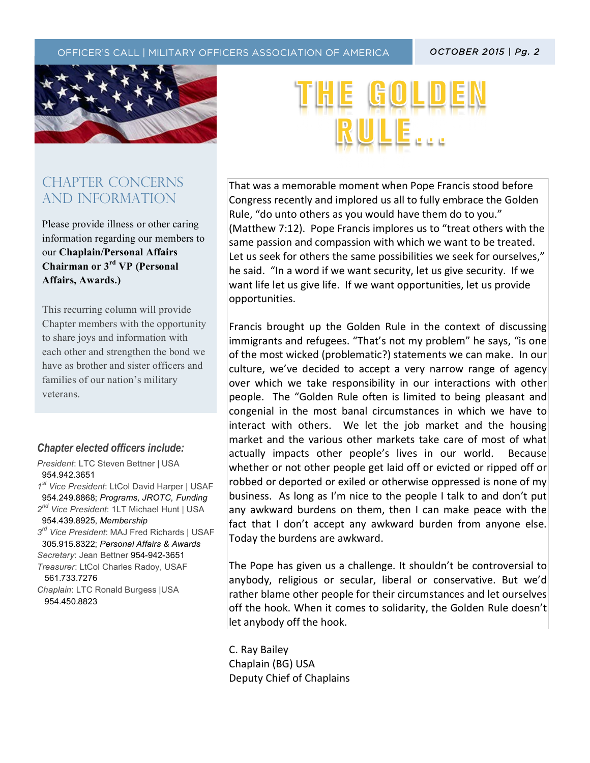$\mathcal{T}_{\mathcal{A}}$  (the text)  $\mathcal{T}_{\mathcal{A}}$  (the text)  $\mathcal{T}_{\mathcal{A}}$  (the text)  $\mathcal{T}_{\mathcal{A}}$  (the text)  $\mathcal{T}_{\mathcal{A}}$ 



### CHAPTER CONCERNs AND INFORMATION

Please provide illness or other caring information regarding our members to our **Chaplain/Personal Affairs Chairman or 3rd VP (Personal Affairs, Awards.)**

This recurring column will provide Chapter members with the opportunity to share joys and information with each other and strengthen the bond we have as brother and sister officers and families of our nation's military veterans.

### *Chapter elected officers include:*

*President*: LTC Steven Bettner | USA 954.942.3651 *1st Vice President*: LtCol David Harper | USAF 954.249.8868; *Programs, JROTC, Funding 2nd Vice President*: 1LT Michael Hunt | USA 954.439.8925, *Membership 3rd Vice President*: MAJ Fred Richards | USAF 305.915.8322; *Personal Affairs & Awards Secretary*: Jean Bettner 954-942-3651 *Treasurer*: LtCol Charles Radoy, USAF 561.733.7276 *Chaplain*: LTC Ronald Burgess |USA 954.450.8823

That was a memorable moment when Pope Francis stood before Congress recently and implored us all to fully embrace the Golden Rule, "do unto others as you would have them do to you." (Matthew 7:12). Pope Francis implores us to "treat others with the same passion and compassion with which we want to be treated. Let us seek for others the same possibilities we seek for ourselves," he said. "In a word if we want security, let us give security. If we want life let us give life. If we want opportunities, let us provide opportunities.

Francis brought up the Golden Rule in the context of discussing immigrants and refugees. "That's not my problem" he says, "is one of the most wicked (problematic?) statements we can make. In our culture, we've decided to accept a very narrow range of agency over which we take responsibility in our interactions with other people. The "Golden Rule often is limited to being pleasant and congenial in the most banal circumstances in which we have to interact with others. We let the job market and the housing market and the various other markets take care of most of what actually impacts other people's lives in our world. Because whether or not other people get laid off or evicted or ripped off or robbed or deported or exiled or otherwise oppressed is none of my business. As long as I'm nice to the people I talk to and don't put any awkward burdens on them, then I can make peace with the fact that I don't accept any awkward burden from anyone else. Today the burdens are awkward.

The Pope has given us a challenge. It shouldn't be controversial to anybody, religious or secular, liberal or conservative. But we'd rather blame other people for their circumstances and let ourselves off the hook. When it comes to solidarity, the Golden Rule doesn't let anybody off the hook.

C. Ray Bailey Chaplain (BG) USA Deputy Chief of Chaplains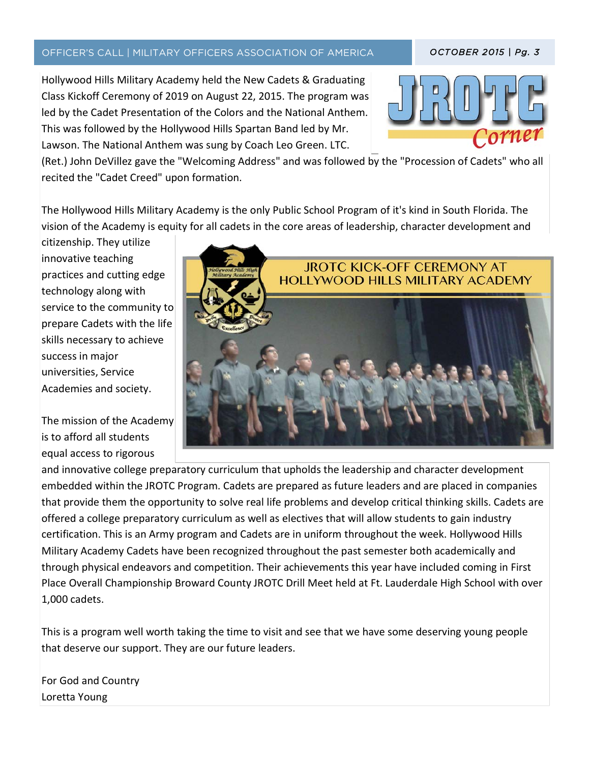### OFFICER'S CALL | MILITARY OFFICERS ASSOCIATION OF AMERICA *OCTOBER 2015 | Pg. 3*

Hollywood Hills Military Academy held the New Cadets & Graduating Class Kickoff Ceremony of 2019 on August 22, 2015. The program was led by the Cadet Presentation of the Colors and the National Anthem. This was followed by the Hollywood Hills Spartan Band led by Mr. Lawson. The National Anthem was sung by Coach Leo Green. LTC.



(Ret.) John DeVillez gave the "Welcoming Address" and was followed by the "Procession of Cadets" who all recited the "Cadet Creed" upon formation.

 $\mathcal{T}_{\mathcal{A}}$  (the text)  $\mathcal{T}_{\mathcal{A}}$  (the text)  $\mathcal{T}_{\mathcal{A}}$  (the text)  $\mathcal{T}_{\mathcal{A}}$ 

The Hollywood Hills Military Academy is the only Public School Program of it's kind in South Florida. The vision of the Academy is equity for all cadets in the core areas of leadership, character development and

citizenship. They utilize innovative teaching practices and cutting edge technology along with service to the community to prepare Cadets with the life skills necessary to achieve success in major universities, Service Academies and society.

The mission of the Academy is to afford all students equal access to rigorous



and innovative college preparatory curriculum that upholds the leadership and character development embedded within the JROTC Program. Cadets are prepared as future leaders and are placed in companies that provide them the opportunity to solve real life problems and develop critical thinking skills. Cadets are offered a college preparatory curriculum as well as electives that will allow students to gain industry certification. This is an Army program and Cadets are in uniform throughout the week. Hollywood Hills Military Academy Cadets have been recognized throughout the past semester both academically and through physical endeavors and competition. Their achievements this year have included coming in First Place Overall Championship Broward County JROTC Drill Meet held at Ft. Lauderdale High School with over 1,000 cadets.

This is a program well worth taking the time to visit and see that we have some deserving young people that deserve our support. They are our future leaders.

For God and Country Loretta Young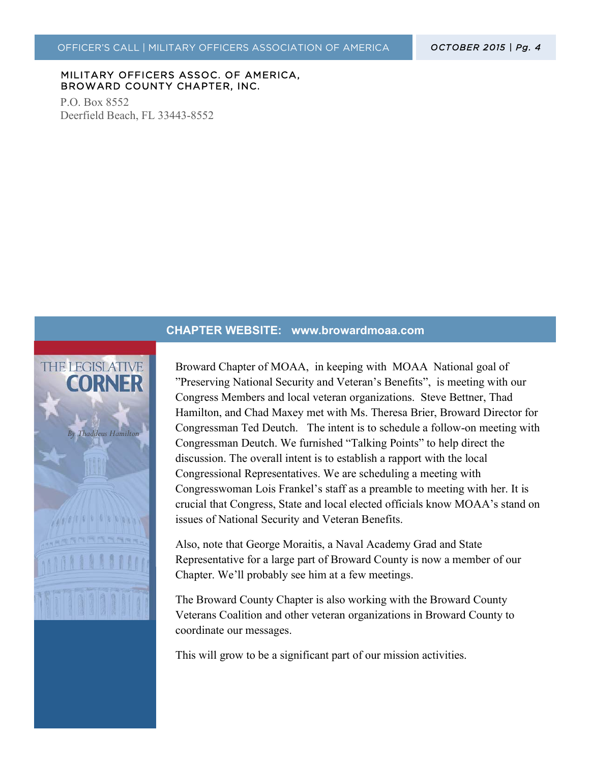*OCTOBER 2015 | Pg. 4* 

#### MILITARY OFFICERS ASSOC. OF AMERICA, BROWARD COUNTY CHAPTER, INC.

P.O. Box 8552 Deerfield Beach, FL 33443-8552

#### **CHAPTER WEBSITE: www.browardmoaa.com**



Broward Chapter of MOAA, in keeping with MOAA National goal of "Preserving National Security and Veteran's Benefits", is meeting with our Congress Members and local veteran organizations. Steve Bettner, Thad Hamilton, and Chad Maxey met with Ms. Theresa Brier, Broward Director for Congressman Ted Deutch. The intent is to schedule a follow-on meeting with Congressman Deutch. We furnished "Talking Points" to help direct the discussion. The overall intent is to establish a rapport with the local Congressional Representatives. We are scheduling a meeting with Congresswoman Lois Frankel's staff as a preamble to meeting with her. It is crucial that Congress, State and local elected officials know MOAA's stand on issues of National Security and Veteran Benefits.

Also, note that George Moraitis, a Naval Academy Grad and State Representative for a large part of Broward County is now a member of our Chapter. We'll probably see him at a few meetings.

The Broward County Chapter is also working with the Broward County Veterans Coalition and other veteran organizations in Broward County to coordinate our messages.

This will grow to be a significant part of our mission activities.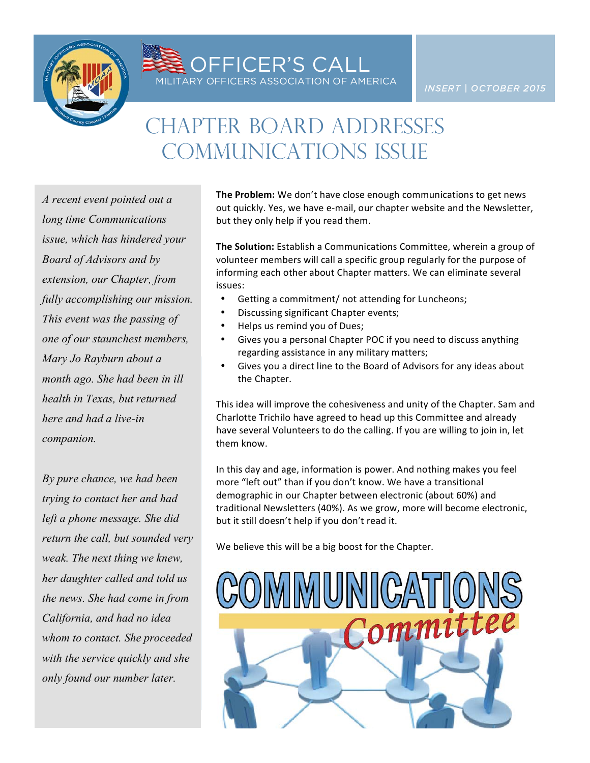

**SEE OFFICER'S CALL**<br>MILITARY OFFICERS ASSOCIATION OF AMERICA

# CHAPTER BOARD ADDRESSES Communications Issue

*A recent event pointed out a long time Communications issue, which has hindered your Board of Advisors and by extension, our Chapter, from fully accomplishing our mission. This event was the passing of one of our staunchest members, Mary Jo Rayburn about a month ago. She had been in ill health in Texas, but returned here and had a live-in companion.* 

*By pure chance, we had been trying to contact her and had left a phone message. She did return the call, but sounded very weak. The next thing we knew, her daughter called and told us the news. She had come in from California, and had no idea whom to contact. She proceeded with the service quickly and she only found our number later.* 

**The Problem:** We don't have close enough communications to get news out quickly. Yes, we have e-mail, our chapter website and the Newsletter, but they only help if you read them.

**The Solution:** Establish a Communications Committee, wherein a group of volunteer members will call a specific group regularly for the purpose of informing each other about Chapter matters. We can eliminate several issues:

- Getting a commitment/ not attending for Luncheons;
- Discussing significant Chapter events;
- Helps us remind you of Dues;
- Gives you a personal Chapter POC if you need to discuss anything regarding assistance in any military matters;
- Gives you a direct line to the Board of Advisors for any ideas about the Chapter.

This idea will improve the cohesiveness and unity of the Chapter. Sam and Charlotte Trichilo have agreed to head up this Committee and already have several Volunteers to do the calling. If you are willing to join in, let them know.

In this day and age, information is power. And nothing makes you feel more "left out" than if you don't know. We have a transitional demographic in our Chapter between electronic (about 60%) and traditional Newsletters (40%). As we grow, more will become electronic, but it still doesn't help if you don't read it.

We believe this will be a big boost for the Chapter.